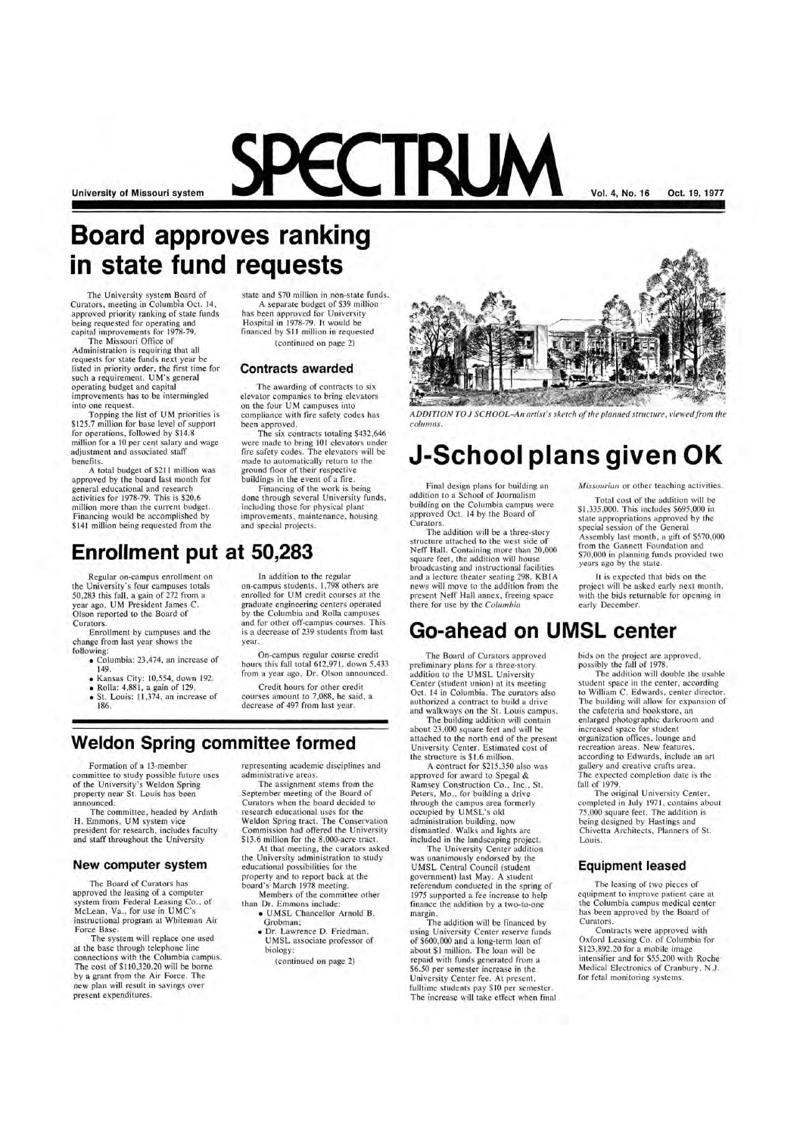**University of Missouri system** 

# **Board approves ranking in state fund requests**

The University system Board of Curators, meeting in Columbia Oct. 14, approved priority ranking of state funds being requested for operating and capital improvements for 1978-79.

A total budget of \$211 million was approved by the board last month for general educational and research activities for 1978-79. This is \$20.6 million more than the current budget. Financing would be accomplished by \$141 million being requested from the

The Missouri Office of Administration is requiring that all requests for state funds next year be listed in priority order, the first time for such a requirement. UM's general operating budget and capital improvements has to be intermingled into one request.

Topping the list of UM priorities is \$125.7 million for base level of support for operations, followed by \$14.8 million for a 10 per cent salary and wage adjustment and associated staff benefits.

state and \$70 million in non-state funds. A separate budget of \$39 million has been approved for University Hospital in 1978-79. 1t would be financed by \$11 million in requested (continued on page 2)

### **Contracts awarded**

On-campus regular course credit hours this fall total 612,971, down 5,433

The awarding of contracts to six elevator companies to bring elevators on the four UM campuses into compliance with fire safety codes has been approved.

The six contracts totaling \$432,646 were made to bring 101 elevators under fire safety codes. The elevators will be made to automatically return to the ground floor of their respective buildings in the event of a fire.

Financing of the work is being done through several University funds, including those for physical plant improvements, maintenance, housing and special projects.

### **Enrollment put at 50,283**

Regular on-campus enrollment on the University's four campuses totals 50,283 this fall, a gain of 272 from a year ago, UM President James C. Olson reported to the Board of Curators.

Enrollment by campuses and the change from last year shows the following:

- Columbia: 23 ,474, an increase of 149.
- Kansas City: 10,554, down 192.
- Rolla: 4,881, a gain of 129.
- St. Louis: 11 ,374, an increase of
- 186.

In addition to the regular on-campus students, 1,798 others are enrolled for UM credit courses at the graduate engineering centers operated by the Columbia and Rolla campuses and for other off-campus courses. This is a decrease of 239 students from last

year.

from a year ago, Dr. Olson announced. Credit hours for other credit courses amount to 7,088, he said, a decrease of 497 from last year.

### **Weldon Spring committee formed**

Formation of a 13-member committee to study possible future uses of the University's Weldon Spring property near St. Louis has been announced.

The committee, headed by Ardath H. Emmons, UM system vice president for research, includes faculty

and staff throughout the University

### **New computer system**

The Board of Curators has approved the leasing of a computer system from Federal Leasing Co. , of McLean, Va., for use in UMC's instructional program at Whiteman Air Force Base.

The system will replace one used at the base through telephone line connections with the Columbia campus. The cost of \$110 ,320.20 will be borne by a grant from the Air Force. The new plan will result in savings over present expenditures.

representing academic disciplines and administrative areas.

The assignment stems from the September meeting of the Board of Curators when the board decided to research educational uses for the Weldon Spring tract. The Conservation Commission had offered the University \$13.6 million for the 8,000-acre tract. At that meeting, the curators asked the University administration to study educational possibilities for the property and to report back at the board's March 1978 meeting.

Members of the committee other than Dr. Emmons include:

- UMSL Chancellor Arnold B. Grobman;
- Dr. Lawrence D. Friedman, UMSL associate professor of biology;

(continued on page 2)

**Vol. 4, No. 16 Oct. 19, 1 977** 



*ADDITION TO* J *SCHOOL-An artist's sketch of the planned structure, viewedfrom the columns.* 

# **J-School plans given OK**

Final design plans for building an addition to a School of Journalism building on the Columbia campus were approved Oct. 14 by the Board of Curators.

The addition will be a three-story structure attached to the west side of Neff Hall. Containing more than 20,000 square feet, the addition will house broadcasting and instructional facilities and a lecture theater seating 298. KB IA news will move to the addition from the present Neff Hall annex, freeing space there for use by the *Columbia* 

*Missourian* or other teaching activities.

Total cost of the addition will be \$1 ,335 ,000. This includes \$695 ,000 in state appropriations approved by the special session of the General Assembly last month, a gift of \$570,000 from the Gannett Foundation and \$70,000 in planning funds provided two years ago by the state.

It is expected that bids on the project will be asked early next month, with the bids returnable for opening in early December.

### **Go-ahead on UMSL center**

The Board of Curators approved preliminary plans for a three-story addition to the UMSL University Center (student union) at its meeting Oct. 14 in Columbia. The curators also authorized a contract to build a drive and walkways on the S1. Louis campus.

The building addition will contain about 23,000 square feet and will be attached to the north end of the present University Center. Estimated cost of the structure is \$1.6 million.

A contract for \$215,350 also was approved for award to Spegal & Ramsey Construction Co., Inc., St. Peters, Mo., for building a drive through the campus area formerly occupied by UMSL's old administration building, now dismantled. Walks and lights are

included in the landscaping project.

The University Center addition was unanimously endorsed by the UMSL Central Council (student government) last May. A student referendum conducted in the spring of 1975 supported a fee increase to help finance the addition by a two-to-one margin.

The addition will be financed by using University Center reserve funds of \$600,000 and a long-term loan of about \$1 million. The loan will be repaid with funds generated from a \$6.50 per semester increase in the University Center fee. At present, fulltime students pay \$10 per semester. The increase will take effect when final bids on the project are approved, possibly the fall of 1978.

The addition will double the usable student space in the center, according to William C. Edwards, center director. The building will allow for expansion of the cafeteria and bookstore, an enlarged photographic darkroom and increased space for student organization offices, lounge and recreation areas. New features, according to Edwards, include an art gallery and creative crafts area. The expected completion date is the fall of 1979.

The original University Center, completed in July 1971, contains about 75 ,000 square feet. The addition is being designed by Hastings and Chivetta Architects, Planners of St.

#### Louis.

### **Equipment leased**

The leasing of two pieces of equipment to improve patient care at the Columbia campus medical center has been approved by the Board of Curators.

Contracts were approved with Oxford Leasing Co. of Columbia for \$123,892.20 for a mobile image intensifier and for \$55 ,200 with Roche Medical Electronics of Cranbury, N.J. for fetal monitoring systems.